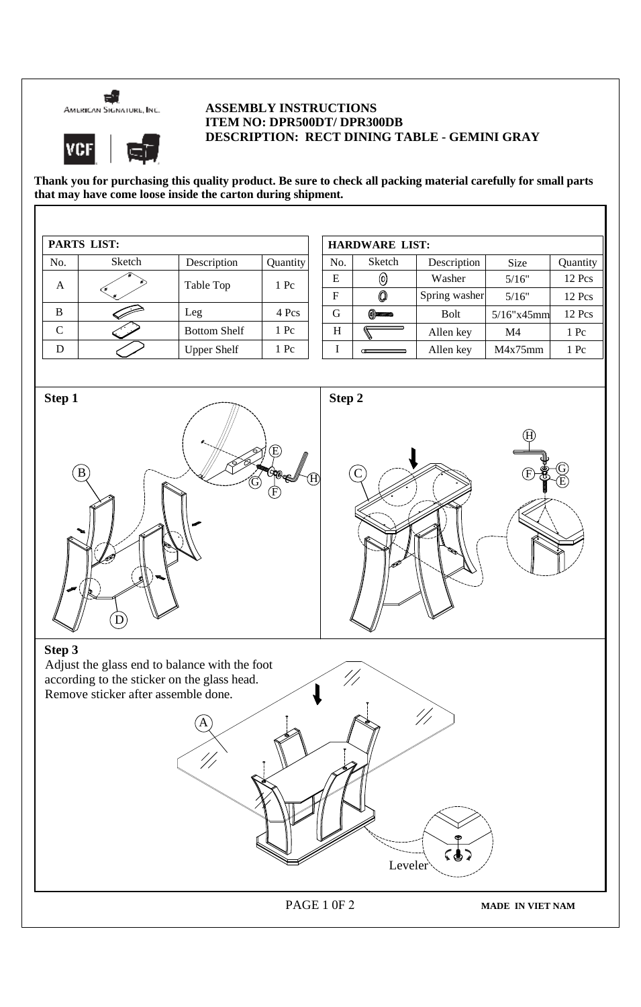



## **ASSEMBLY INSTRUCTIONS ITEM NO: DPR500DT/ DPR300DB DESCRIPTION: RECT DINING TABLE - GEMINI GRAY**

**Thank you for purchasing this quality product. Be sure to check all packing material carefully for small parts that may have come loose inside the carton during shipment.**

| <b>PARTS LIST:</b> |        |                     |          |  |  |  |  |
|--------------------|--------|---------------------|----------|--|--|--|--|
| No.                | Sketch | Description         | Quantity |  |  |  |  |
| A                  |        | Table Top           | 1 Pc     |  |  |  |  |
| В                  |        | Leg                 | 4 Pcs    |  |  |  |  |
| C                  |        | <b>Bottom Shelf</b> | 1 Pc     |  |  |  |  |
|                    |        | <b>Upper Shelf</b>  | 1 Pc     |  |  |  |  |

| <b>HARDWARE LIST:</b> |         |               |               |          |  |  |  |  |
|-----------------------|---------|---------------|---------------|----------|--|--|--|--|
| No.                   | Sketch  | Description   | <b>Size</b>   | Quantity |  |  |  |  |
| Е                     | (0)     | Washer        | 5/16"         | 12 Pcs   |  |  |  |  |
| F                     | O       | Spring washer | 5/16"         | 12 Pcs   |  |  |  |  |
| G                     | $\circ$ | <b>Bolt</b>   | $5/16$ "x45mm | 12 Pcs   |  |  |  |  |
| Н                     |         | Allen key     | M4            | 1 Pc     |  |  |  |  |
|                       |         | Allen key     | M4x75mm       | 1 Pc     |  |  |  |  |



## **Step 3**